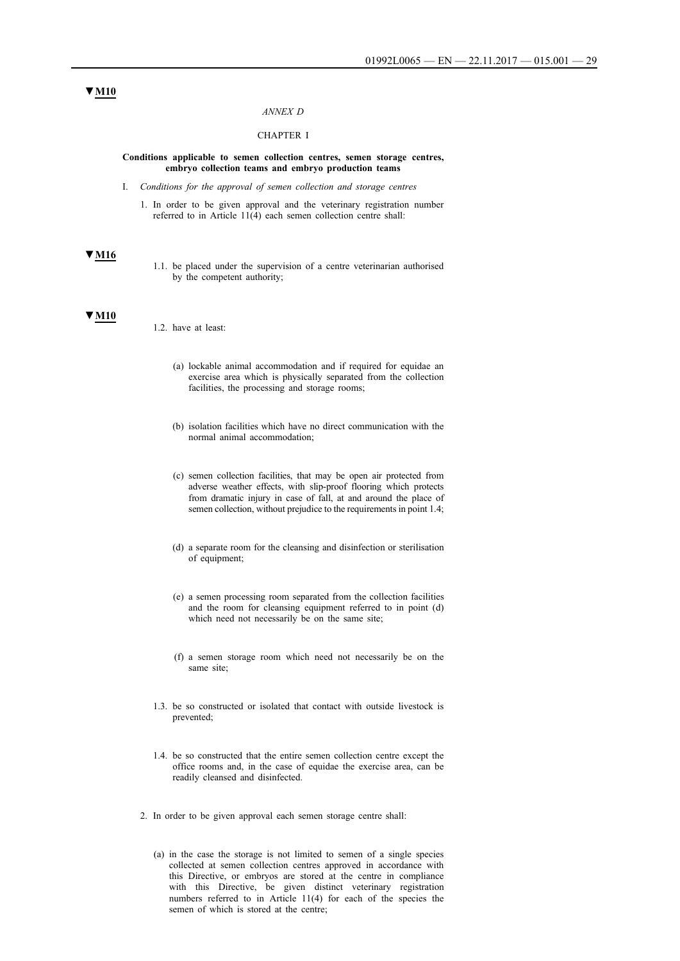#### *ANNEX D*

### CHAPTER I

#### **Conditions applicable to semen collection centres, semen storage centres, embryo collection teams and embryo production teams**

- I. *Conditions for the approval of semen collection and storage centres*
	- 1. In order to be given approval and the veterinary registration number referred to in Article 11(4) each semen collection centre shall:

#### **▼M16**

1.1. be placed under the supervision of a centre veterinarian authorised by the competent authority;

#### **▼M10**

- 1.2. have at least:
	- (a) lockable animal accommodation and if required for equidae an exercise area which is physically separated from the collection facilities, the processing and storage rooms;
	- (b) isolation facilities which have no direct communication with the normal animal accommodation;
	- (c) semen collection facilities, that may be open air protected from adverse weather effects, with slip-proof flooring which protects from dramatic injury in case of fall, at and around the place of semen collection, without prejudice to the requirements in point 1.4;
	- (d) a separate room for the cleansing and disinfection or sterilisation of equipment;
	- (e) a semen processing room separated from the collection facilities and the room for cleansing equipment referred to in point (d) which need not necessarily be on the same site;
	- (f) a semen storage room which need not necessarily be on the same site;
- 1.3. be so constructed or isolated that contact with outside livestock is prevented;
- 1.4. be so constructed that the entire semen collection centre except the office rooms and, in the case of equidae the exercise area, can be readily cleansed and disinfected.
- 2. In order to be given approval each semen storage centre shall:
	- (a) in the case the storage is not limited to semen of a single species collected at semen collection centres approved in accordance with this Directive, or embryos are stored at the centre in compliance with this Directive, be given distinct veterinary registration numbers referred to in Article 11(4) for each of the species the semen of which is stored at the centre;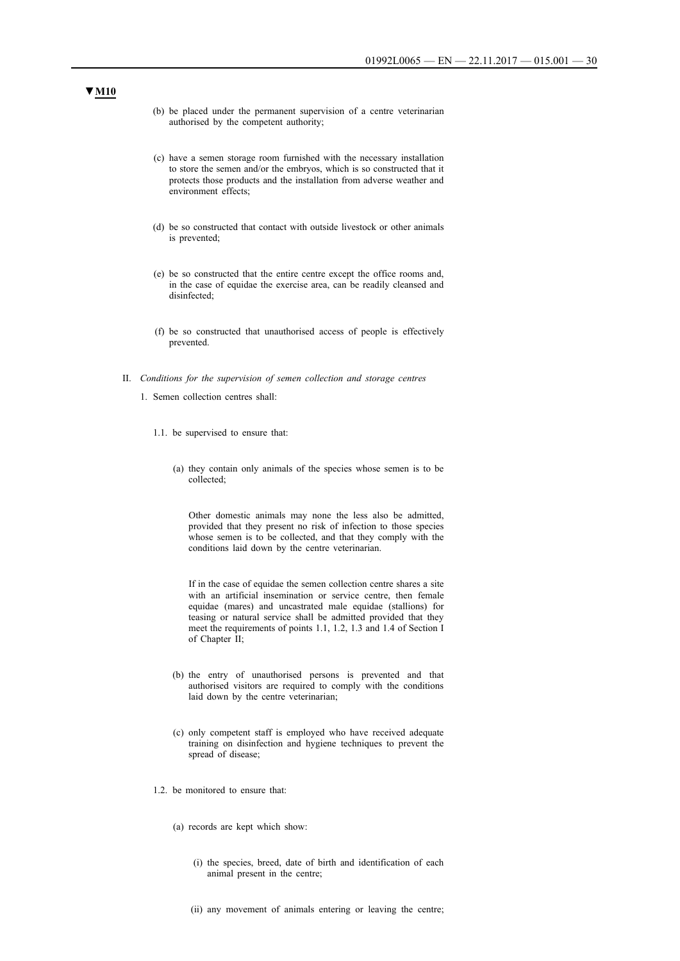- (b) be placed under the permanent supervision of a centre veterinarian authorised by the competent authority;
- (c) have a semen storage room furnished with the necessary installation to store the semen and/or the embryos, which is so constructed that it protects those products and the installation from adverse weather and environment effects;
- (d) be so constructed that contact with outside livestock or other animals is prevented;
- (e) be so constructed that the entire centre except the office rooms and, in the case of equidae the exercise area, can be readily cleansed and disinfected;
- (f) be so constructed that unauthorised access of people is effectively prevented.
- II. *Conditions for the supervision of semen collection and storage centres*
	- 1. Semen collection centres shall:
		- 1.1. be supervised to ensure that:
			- (a) they contain only animals of the species whose semen is to be collected;

Other domestic animals may none the less also be admitted, provided that they present no risk of infection to those species whose semen is to be collected, and that they comply with the conditions laid down by the centre veterinarian.

If in the case of equidae the semen collection centre shares a site with an artificial insemination or service centre, then female equidae (mares) and uncastrated male equidae (stallions) for teasing or natural service shall be admitted provided that they meet the requirements of points 1.1, 1.2, 1.3 and 1.4 of Section I of Chapter II;

- (b) the entry of unauthorised persons is prevented and that authorised visitors are required to comply with the conditions laid down by the centre veterinarian;
- (c) only competent staff is employed who have received adequate training on disinfection and hygiene techniques to prevent the spread of disease;
- 1.2. be monitored to ensure that:
	- (a) records are kept which show:
		- (i) the species, breed, date of birth and identification of each animal present in the centre;
		- (ii) any movement of animals entering or leaving the centre;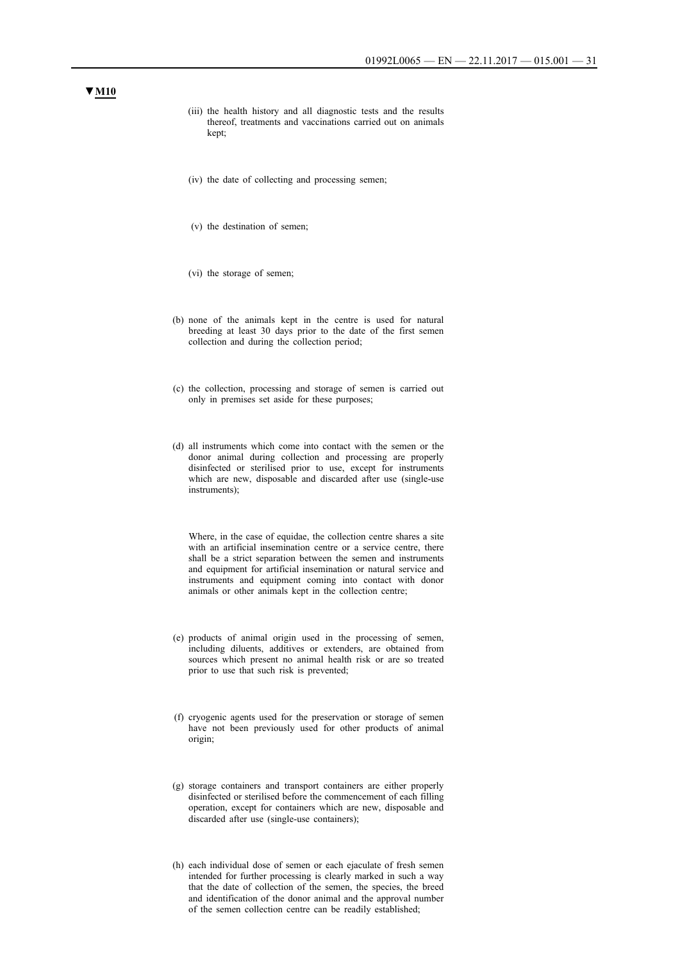- (iii) the health history and all diagnostic tests and the results thereof, treatments and vaccinations carried out on animals kept;
- (iv) the date of collecting and processing semen;
- (v) the destination of semen;
- (vi) the storage of semen;
- (b) none of the animals kept in the centre is used for natural breeding at least 30 days prior to the date of the first semen collection and during the collection period;
- (c) the collection, processing and storage of semen is carried out only in premises set aside for these purposes;
- (d) all instruments which come into contact with the semen or the donor animal during collection and processing are properly disinfected or sterilised prior to use, except for instruments which are new, disposable and discarded after use (single-use instruments);

Where, in the case of equidae, the collection centre shares a site with an artificial insemination centre or a service centre, there shall be a strict separation between the semen and instruments and equipment for artificial insemination or natural service and instruments and equipment coming into contact with donor animals or other animals kept in the collection centre;

- (e) products of animal origin used in the processing of semen, including diluents, additives or extenders, are obtained from sources which present no animal health risk or are so treated prior to use that such risk is prevented;
- (f) cryogenic agents used for the preservation or storage of semen have not been previously used for other products of animal origin;
- (g) storage containers and transport containers are either properly disinfected or sterilised before the commencement of each filling operation, except for containers which are new, disposable and discarded after use (single-use containers);
- (h) each individual dose of semen or each ejaculate of fresh semen intended for further processing is clearly marked in such a way that the date of collection of the semen, the species, the breed and identification of the donor animal and the approval number of the semen collection centre can be readily established;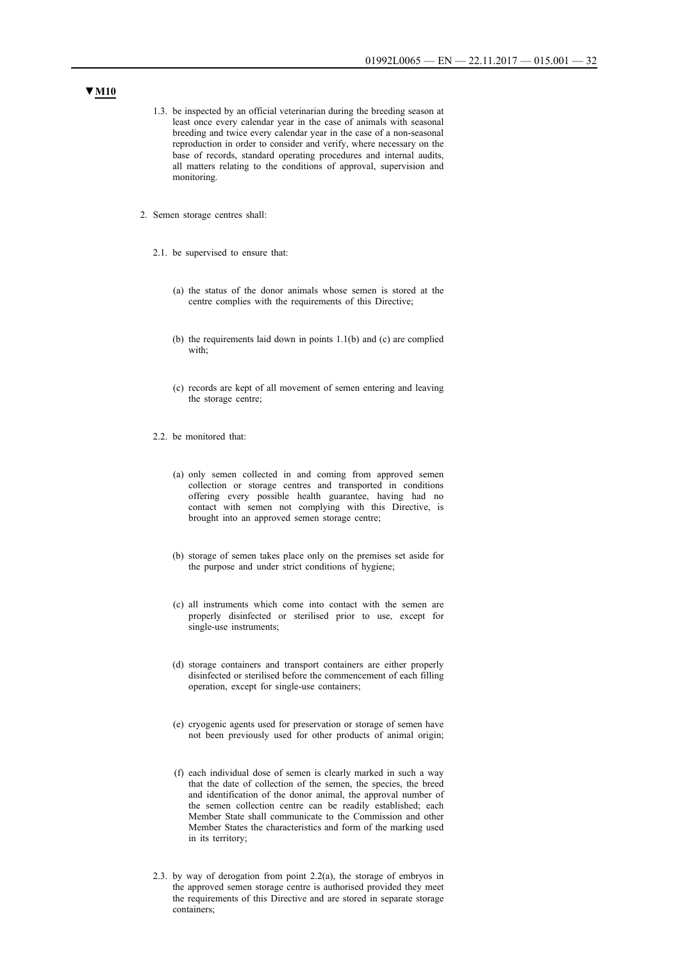- 1.3. be inspected by an official veterinarian during the breeding season at least once every calendar year in the case of animals with seasonal breeding and twice every calendar year in the case of a non-seasonal reproduction in order to consider and verify, where necessary on the base of records, standard operating procedures and internal audits, all matters relating to the conditions of approval, supervision and monitoring.
- 2. Semen storage centres shall:
	- 2.1. be supervised to ensure that:
		- (a) the status of the donor animals whose semen is stored at the centre complies with the requirements of this Directive;
		- (b) the requirements laid down in points 1.1(b) and (c) are complied with:
		- (c) records are kept of all movement of semen entering and leaving the storage centre;
	- 2.2. be monitored that:
		- (a) only semen collected in and coming from approved semen collection or storage centres and transported in conditions offering every possible health guarantee, having had no contact with semen not complying with this Directive, is brought into an approved semen storage centre;
		- (b) storage of semen takes place only on the premises set aside for the purpose and under strict conditions of hygiene;
		- (c) all instruments which come into contact with the semen are properly disinfected or sterilised prior to use, except for single-use instruments;
		- (d) storage containers and transport containers are either properly disinfected or sterilised before the commencement of each filling operation, except for single-use containers;
		- (e) cryogenic agents used for preservation or storage of semen have not been previously used for other products of animal origin;
		- (f) each individual dose of semen is clearly marked in such a way that the date of collection of the semen, the species, the breed and identification of the donor animal, the approval number of the semen collection centre can be readily established; each Member State shall communicate to the Commission and other Member States the characteristics and form of the marking used in its territory;
	- 2.3. by way of derogation from point 2.2(a), the storage of embryos in the approved semen storage centre is authorised provided they meet the requirements of this Directive and are stored in separate storage containers;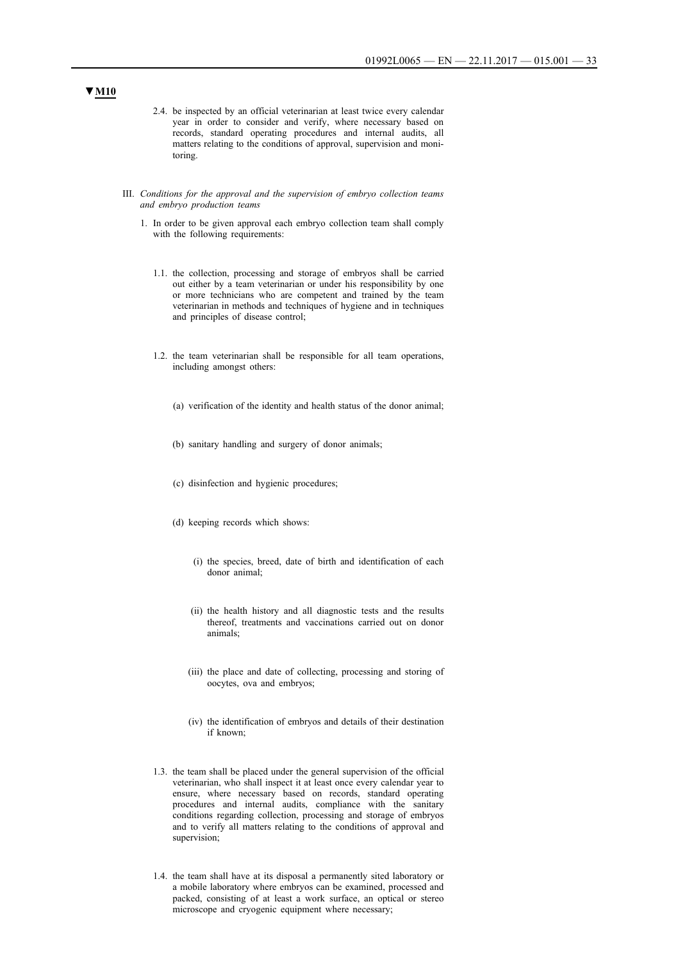- 2.4. be inspected by an official veterinarian at least twice every calendar year in order to consider and verify, where necessary based on records, standard operating procedures and internal audits, all matters relating to the conditions of approval, supervision and monitoring.
- III. *Conditions for the approval and the supervision of embryo collection teams and embryo production teams*
	- 1. In order to be given approval each embryo collection team shall comply with the following requirements:
		- 1.1. the collection, processing and storage of embryos shall be carried out either by a team veterinarian or under his responsibility by one or more technicians who are competent and trained by the team veterinarian in methods and techniques of hygiene and in techniques and principles of disease control;
		- 1.2. the team veterinarian shall be responsible for all team operations, including amongst others:
			- (a) verification of the identity and health status of the donor animal;
			- (b) sanitary handling and surgery of donor animals;
			- (c) disinfection and hygienic procedures;
			- (d) keeping records which shows:
				- (i) the species, breed, date of birth and identification of each donor animal;
				- (ii) the health history and all diagnostic tests and the results thereof, treatments and vaccinations carried out on donor animals;
				- (iii) the place and date of collecting, processing and storing of oocytes, ova and embryos;
				- (iv) the identification of embryos and details of their destination if known;
		- 1.3. the team shall be placed under the general supervision of the official veterinarian, who shall inspect it at least once every calendar year to ensure, where necessary based on records, standard operating procedures and internal audits, compliance with the sanitary conditions regarding collection, processing and storage of embryos and to verify all matters relating to the conditions of approval and supervision;
		- 1.4. the team shall have at its disposal a permanently sited laboratory or a mobile laboratory where embryos can be examined, processed and packed, consisting of at least a work surface, an optical or stereo microscope and cryogenic equipment where necessary;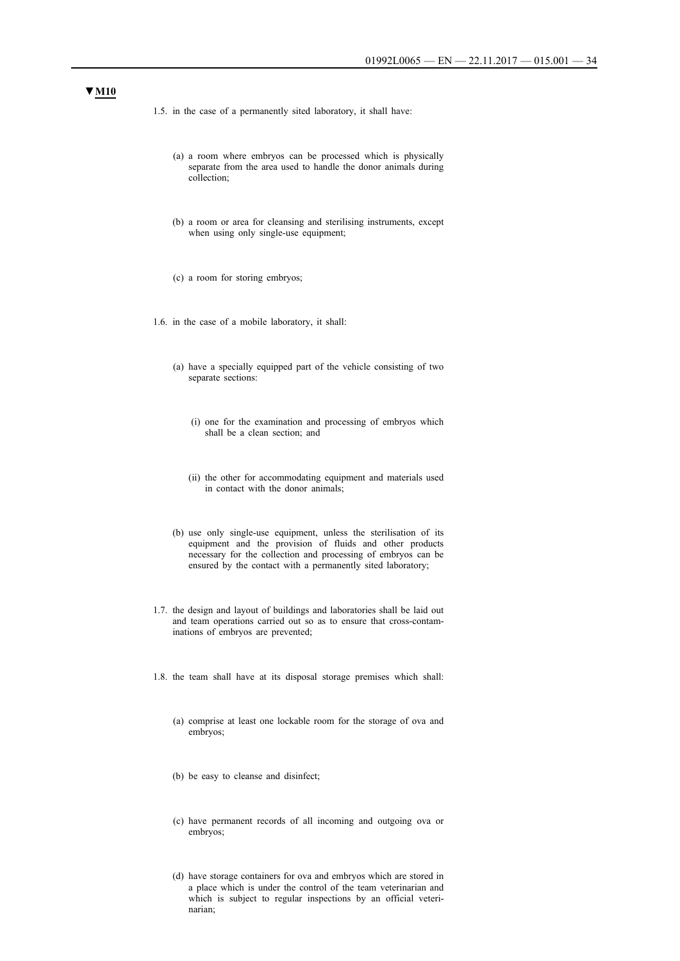- 1.5. in the case of a permanently sited laboratory, it shall have:
	- (a) a room where embryos can be processed which is physically separate from the area used to handle the donor animals during collection;
	- (b) a room or area for cleansing and sterilising instruments, except when using only single-use equipment;
	- (c) a room for storing embryos;
- 1.6. in the case of a mobile laboratory, it shall:
	- (a) have a specially equipped part of the vehicle consisting of two separate sections:
		- (i) one for the examination and processing of embryos which shall be a clean section; and
		- (ii) the other for accommodating equipment and materials used in contact with the donor animals;
	- (b) use only single-use equipment, unless the sterilisation of its equipment and the provision of fluids and other products necessary for the collection and processing of embryos can be ensured by the contact with a permanently sited laboratory;
- 1.7. the design and layout of buildings and laboratories shall be laid out and team operations carried out so as to ensure that cross-contaminations of embryos are prevented;
- 1.8. the team shall have at its disposal storage premises which shall:
	- (a) comprise at least one lockable room for the storage of ova and embryos;
	- (b) be easy to cleanse and disinfect;
	- (c) have permanent records of all incoming and outgoing ova or embryos;
	- (d) have storage containers for ova and embryos which are stored in a place which is under the control of the team veterinarian and which is subject to regular inspections by an official veterinarian;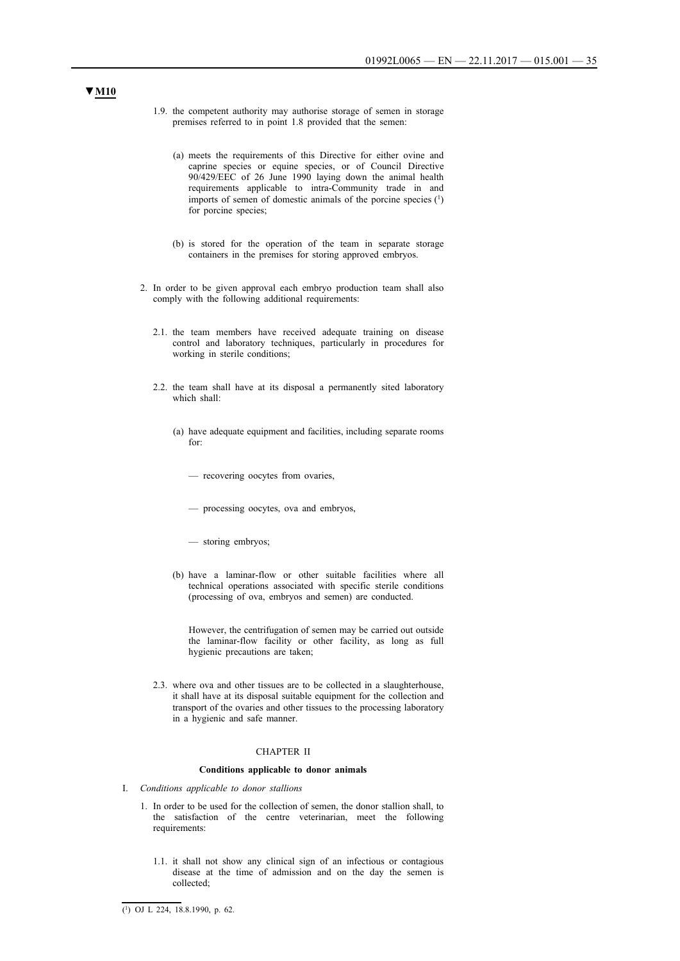- 1.9. the competent authority may authorise storage of semen in storage premises referred to in point 1.8 provided that the semen:
	- (a) meets the requirements of this Directive for either ovine and caprine species or equine species, or of Council Directive 90/429/EEC of 26 June 1990 laying down the animal health requirements applicable to intra-Community trade in and imports of semen of domestic animals of the porcine species (1) for porcine species;
	- (b) is stored for the operation of the team in separate storage containers in the premises for storing approved embryos.
- 2. In order to be given approval each embryo production team shall also comply with the following additional requirements:
	- 2.1. the team members have received adequate training on disease control and laboratory techniques, particularly in procedures for working in sterile conditions;
	- 2.2. the team shall have at its disposal a permanently sited laboratory which shall:
		- (a) have adequate equipment and facilities, including separate rooms for:
			- recovering oocytes from ovaries,
			- processing oocytes, ova and embryos,
			- storing embryos;
		- (b) have a laminar-flow or other suitable facilities where all technical operations associated with specific sterile conditions (processing of ova, embryos and semen) are conducted.

However, the centrifugation of semen may be carried out outside the laminar-flow facility or other facility, as long as full hygienic precautions are taken;

2.3. where ova and other tissues are to be collected in a slaughterhouse, it shall have at its disposal suitable equipment for the collection and transport of the ovaries and other tissues to the processing laboratory in a hygienic and safe manner.

#### CHAPTER II

#### **Conditions applicable to donor animals**

- I. *Conditions applicable to donor stallions*
	- 1. In order to be used for the collection of semen, the donor stallion shall, to the satisfaction of the centre veterinarian, meet the following requirements:
		- 1.1. it shall not show any clinical sign of an infectious or contagious disease at the time of admission and on the day the semen is collected;

 $(1)$  OJ L 224, 18.8.1990, p. 62.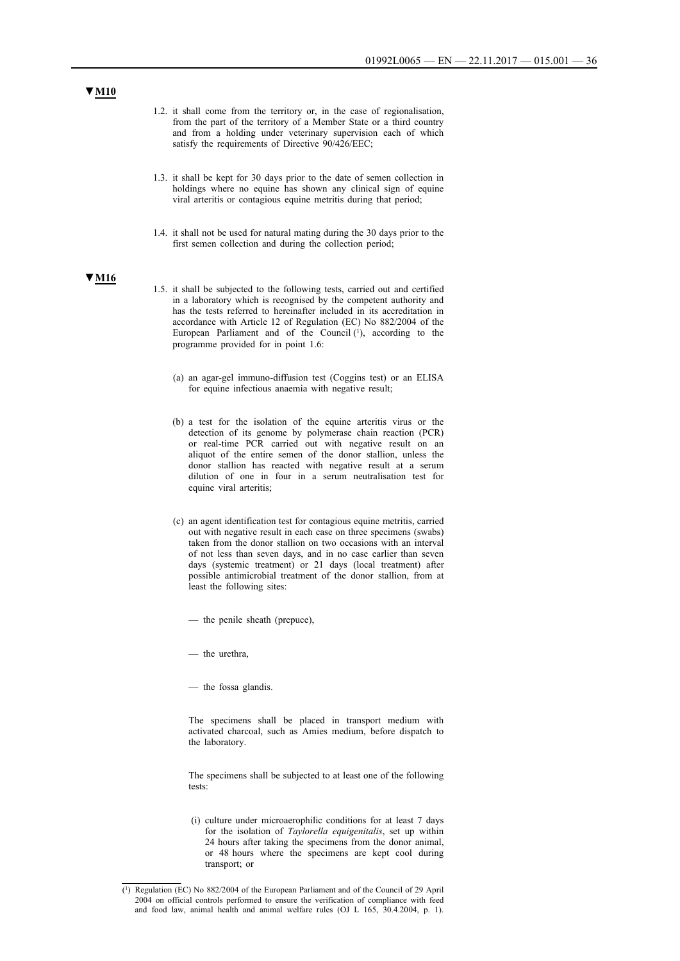- 1.2. it shall come from the territory or, in the case of regionalisation, from the part of the territory of a Member State or a third country and from a holding under veterinary supervision each of which satisfy the requirements of Directive 90/426/EEC;
- 1.3. it shall be kept for 30 days prior to the date of semen collection in holdings where no equine has shown any clinical sign of equine viral arteritis or contagious equine metritis during that period;
- 1.4. it shall not be used for natural mating during the 30 days prior to the first semen collection and during the collection period;

- 1.5. it shall be subjected to the following tests, carried out and certified in a laboratory which is recognised by the competent authority and has the tests referred to hereinafter included in its accreditation in accordance with Article 12 of Regulation (EC) No 882/2004 of the European Parliament and of the Council  $(1)$ , according to the programme provided for in point 1.6:
	- (a) an agar-gel immuno-diffusion test (Coggins test) or an ELISA for equine infectious anaemia with negative result;
	- (b) a test for the isolation of the equine arteritis virus or the detection of its genome by polymerase chain reaction (PCR) or real-time PCR carried out with negative result on an aliquot of the entire semen of the donor stallion, unless the donor stallion has reacted with negative result at a serum dilution of one in four in a serum neutralisation test for equine viral arteritis;
	- (c) an agent identification test for contagious equine metritis, carried out with negative result in each case on three specimens (swabs) taken from the donor stallion on two occasions with an interval of not less than seven days, and in no case earlier than seven days (systemic treatment) or 21 days (local treatment) after possible antimicrobial treatment of the donor stallion, from at least the following sites:
		- the penile sheath (prepuce),
		- the urethra,

— the fossa glandis.

The specimens shall be placed in transport medium with activated charcoal, such as Amies medium, before dispatch to the laboratory.

The specimens shall be subjected to at least one of the following tests:

(i) culture under microaerophilic conditions for at least 7 days for the isolation of *Taylorella equigenitalis*, set up within 24 hours after taking the specimens from the donor animal, or 48 hours where the specimens are kept cool during transport; or

<sup>(1)</sup> Regulation (EC) No 882/2004 of the European Parliament and of the Council of 29 April 2004 on official controls performed to ensure the verification of compliance with feed and food law, animal health and animal welfare rules (OJ L 165, 30.4.2004, p. 1).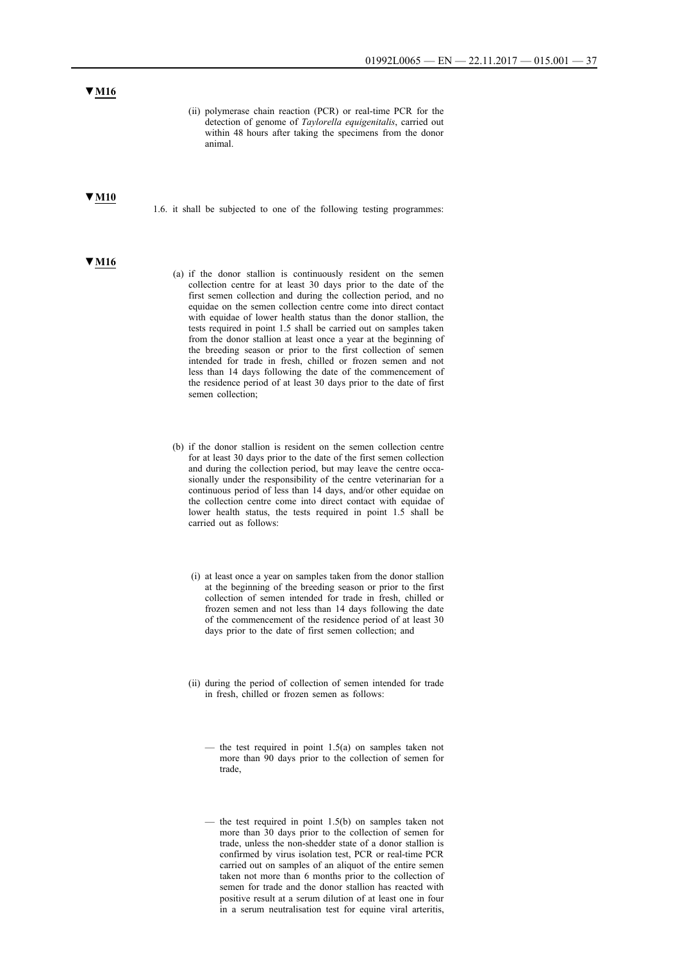(ii) polymerase chain reaction (PCR) or real-time PCR for the detection of genome of *Taylorella equigenitalis*, carried out within 48 hours after taking the specimens from the donor animal.

### **▼M10**

1.6. it shall be subjected to one of the following testing programmes:

#### **▼M16**

- (a) if the donor stallion is continuously resident on the semen collection centre for at least 30 days prior to the date of the first semen collection and during the collection period, and no equidae on the semen collection centre come into direct contact with equidae of lower health status than the donor stallion, the tests required in point 1.5 shall be carried out on samples taken from the donor stallion at least once a year at the beginning of the breeding season or prior to the first collection of semen intended for trade in fresh, chilled or frozen semen and not less than 14 days following the date of the commencement of the residence period of at least 30 days prior to the date of first semen collection;
- (b) if the donor stallion is resident on the semen collection centre for at least 30 days prior to the date of the first semen collection and during the collection period, but may leave the centre occasionally under the responsibility of the centre veterinarian for a continuous period of less than 14 days, and/or other equidae on the collection centre come into direct contact with equidae of lower health status, the tests required in point 1.5 shall be carried out as follows:
	- (i) at least once a year on samples taken from the donor stallion at the beginning of the breeding season or prior to the first collection of semen intended for trade in fresh, chilled or frozen semen and not less than 14 days following the date of the commencement of the residence period of at least 30 days prior to the date of first semen collection; and
	- (ii) during the period of collection of semen intended for trade in fresh, chilled or frozen semen as follows:
		- the test required in point  $1.5(a)$  on samples taken not more than 90 days prior to the collection of semen for trade,
		- the test required in point  $1.5(b)$  on samples taken not more than 30 days prior to the collection of semen for trade, unless the non-shedder state of a donor stallion is confirmed by virus isolation test, PCR or real-time PCR carried out on samples of an aliquot of the entire semen taken not more than 6 months prior to the collection of semen for trade and the donor stallion has reacted with positive result at a serum dilution of at least one in four in a serum neutralisation test for equine viral arteritis,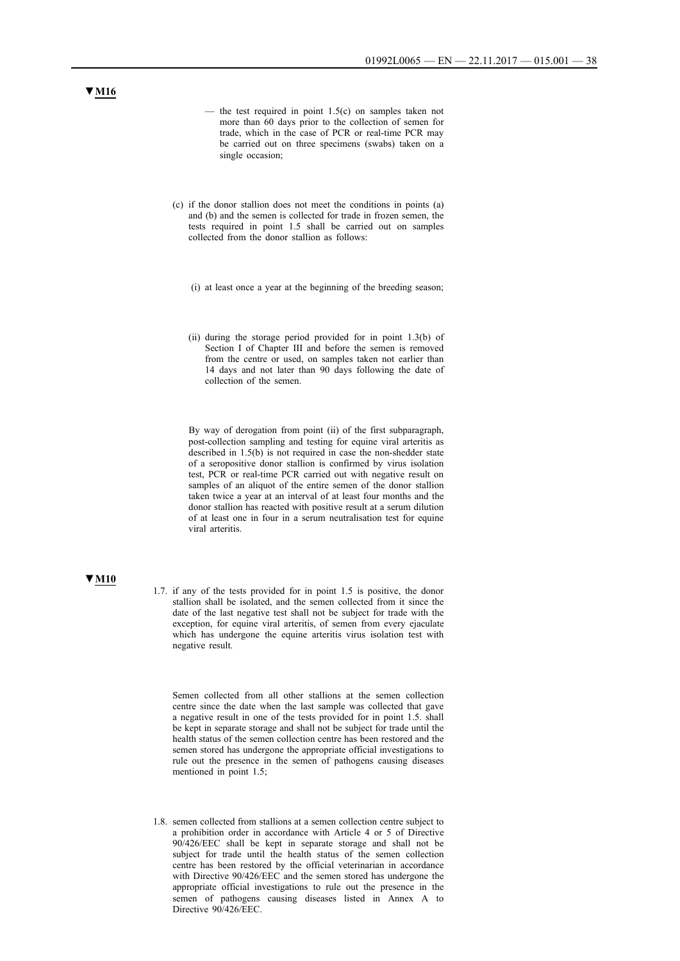- the test required in point  $1.5(c)$  on samples taken not more than 60 days prior to the collection of semen for trade, which in the case of PCR or real-time PCR may be carried out on three specimens (swabs) taken on a single occasion;
- (c) if the donor stallion does not meet the conditions in points (a) and (b) and the semen is collected for trade in frozen semen, the tests required in point 1.5 shall be carried out on samples collected from the donor stallion as follows:
	- (i) at least once a year at the beginning of the breeding season;
	- (ii) during the storage period provided for in point 1.3(b) of Section I of Chapter III and before the semen is removed from the centre or used, on samples taken not earlier than 14 days and not later than 90 days following the date of collection of the semen.

By way of derogation from point (ii) of the first subparagraph, post-collection sampling and testing for equine viral arteritis as described in 1.5(b) is not required in case the non-shedder state of a seropositive donor stallion is confirmed by virus isolation test, PCR or real-time PCR carried out with negative result on samples of an aliquot of the entire semen of the donor stallion taken twice a year at an interval of at least four months and the donor stallion has reacted with positive result at a serum dilution of at least one in four in a serum neutralisation test for equine viral arteritis.

# **▼M10**

1.7. if any of the tests provided for in point 1.5 is positive, the donor stallion shall be isolated, and the semen collected from it since the date of the last negative test shall not be subject for trade with the exception, for equine viral arteritis, of semen from every ejaculate which has undergone the equine arteritis virus isolation test with negative result.

Semen collected from all other stallions at the semen collection centre since the date when the last sample was collected that gave a negative result in one of the tests provided for in point 1.5. shall be kept in separate storage and shall not be subject for trade until the health status of the semen collection centre has been restored and the semen stored has undergone the appropriate official investigations to rule out the presence in the semen of pathogens causing diseases mentioned in point 1.5;

1.8. semen collected from stallions at a semen collection centre subject to a prohibition order in accordance with Article 4 or 5 of Directive 90/426/EEC shall be kept in separate storage and shall not be subject for trade until the health status of the semen collection centre has been restored by the official veterinarian in accordance with Directive 90/426/EEC and the semen stored has undergone the appropriate official investigations to rule out the presence in the semen of pathogens causing diseases listed in Annex A to Directive 90/426/EEC.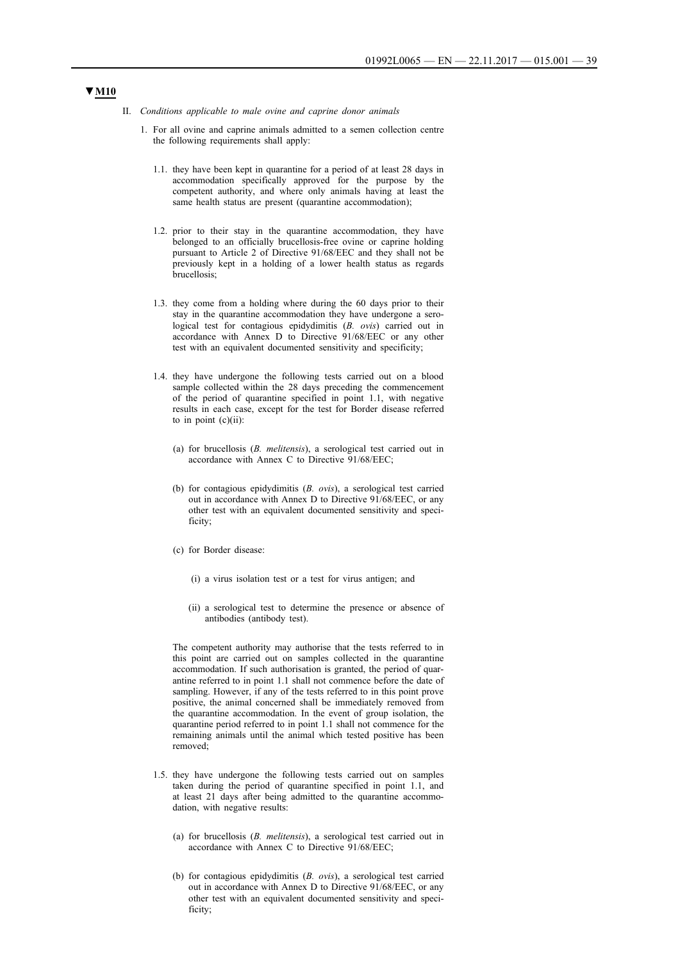- II. *Conditions applicable to male ovine and caprine donor animals*
	- 1. For all ovine and caprine animals admitted to a semen collection centre the following requirements shall apply:
		- 1.1. they have been kept in quarantine for a period of at least 28 days in accommodation specifically approved for the purpose by the competent authority, and where only animals having at least the same health status are present (quarantine accommodation);
		- 1.2. prior to their stay in the quarantine accommodation, they have belonged to an officially brucellosis-free ovine or caprine holding pursuant to Article 2 of Directive 91/68/EEC and they shall not be previously kept in a holding of a lower health status as regards brucellosis;
		- 1.3. they come from a holding where during the 60 days prior to their stay in the quarantine accommodation they have undergone a serological test for contagious epidydimitis (*B. ovis*) carried out in accordance with Annex D to Directive 91/68/EEC or any other test with an equivalent documented sensitivity and specificity;
		- 1.4. they have undergone the following tests carried out on a blood sample collected within the 28 days preceding the commencement of the period of quarantine specified in point 1.1, with negative results in each case, except for the test for Border disease referred to in point  $(c)(ii)$ :
			- (a) for brucellosis (*B. melitensis*), a serological test carried out in accordance with Annex C to Directive 91/68/EEC;
			- (b) for contagious epidydimitis (*B. ovis*), a serological test carried out in accordance with Annex D to Directive 91/68/EEC, or any other test with an equivalent documented sensitivity and specificity;
			- (c) for Border disease:
				- (i) a virus isolation test or a test for virus antigen; and
				- (ii) a serological test to determine the presence or absence of antibodies (antibody test).

The competent authority may authorise that the tests referred to in this point are carried out on samples collected in the quarantine accommodation. If such authorisation is granted, the period of quarantine referred to in point 1.1 shall not commence before the date of sampling. However, if any of the tests referred to in this point prove positive, the animal concerned shall be immediately removed from the quarantine accommodation. In the event of group isolation, the quarantine period referred to in point 1.1 shall not commence for the remaining animals until the animal which tested positive has been removed;

- 1.5. they have undergone the following tests carried out on samples taken during the period of quarantine specified in point 1.1, and at least 21 days after being admitted to the quarantine accommodation, with negative results:
	- (a) for brucellosis (*B. melitensis*), a serological test carried out in accordance with Annex C to Directive 91/68/EEC;
	- (b) for contagious epidydimitis (*B. ovis*), a serological test carried out in accordance with Annex D to Directive 91/68/EEC, or any other test with an equivalent documented sensitivity and specificity;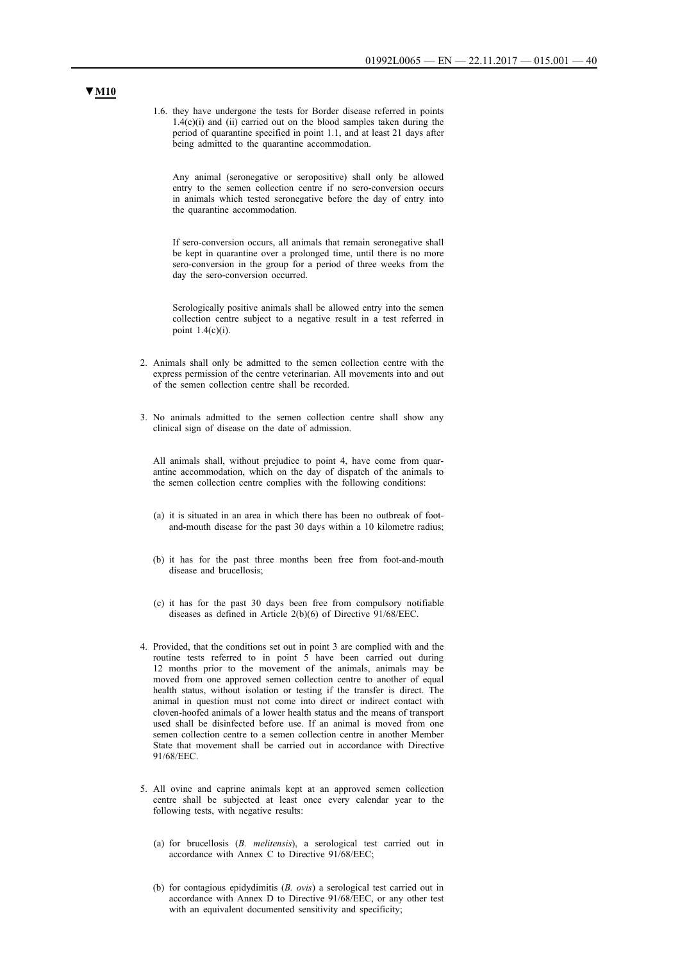1.6. they have undergone the tests for Border disease referred in points  $1.4(c)(i)$  and (ii) carried out on the blood samples taken during the period of quarantine specified in point 1.1, and at least 21 days after being admitted to the quarantine accommodation.

Any animal (seronegative or seropositive) shall only be allowed entry to the semen collection centre if no sero-conversion occurs in animals which tested seronegative before the day of entry into the quarantine accommodation.

If sero-conversion occurs, all animals that remain seronegative shall be kept in quarantine over a prolonged time, until there is no more sero-conversion in the group for a period of three weeks from the day the sero-conversion occurred.

Serologically positive animals shall be allowed entry into the semen collection centre subject to a negative result in a test referred in point  $1.4(c)(i)$ .

- 2. Animals shall only be admitted to the semen collection centre with the express permission of the centre veterinarian. All movements into and out of the semen collection centre shall be recorded.
- 3. No animals admitted to the semen collection centre shall show any clinical sign of disease on the date of admission.

All animals shall, without prejudice to point 4, have come from quarantine accommodation, which on the day of dispatch of the animals to the semen collection centre complies with the following conditions:

- (a) it is situated in an area in which there has been no outbreak of footand-mouth disease for the past 30 days within a 10 kilometre radius;
- (b) it has for the past three months been free from foot-and-mouth disease and brucellosis;
- (c) it has for the past 30 days been free from compulsory notifiable diseases as defined in Article 2(b)(6) of Directive 91/68/EEC.
- 4. Provided, that the conditions set out in point 3 are complied with and the routine tests referred to in point 5 have been carried out during 12 months prior to the movement of the animals, animals may be moved from one approved semen collection centre to another of equal health status, without isolation or testing if the transfer is direct. The animal in question must not come into direct or indirect contact with cloven-hoofed animals of a lower health status and the means of transport used shall be disinfected before use. If an animal is moved from one semen collection centre to a semen collection centre in another Member State that movement shall be carried out in accordance with Directive 91/68/EEC.
- 5. All ovine and caprine animals kept at an approved semen collection centre shall be subjected at least once every calendar year to the following tests, with negative results:
	- (a) for brucellosis (*B. melitensis*), a serological test carried out in accordance with Annex C to Directive 91/68/EEC;
	- (b) for contagious epidydimitis (*B. ovis*) a serological test carried out in accordance with Annex D to Directive 91/68/EEC, or any other test with an equivalent documented sensitivity and specificity;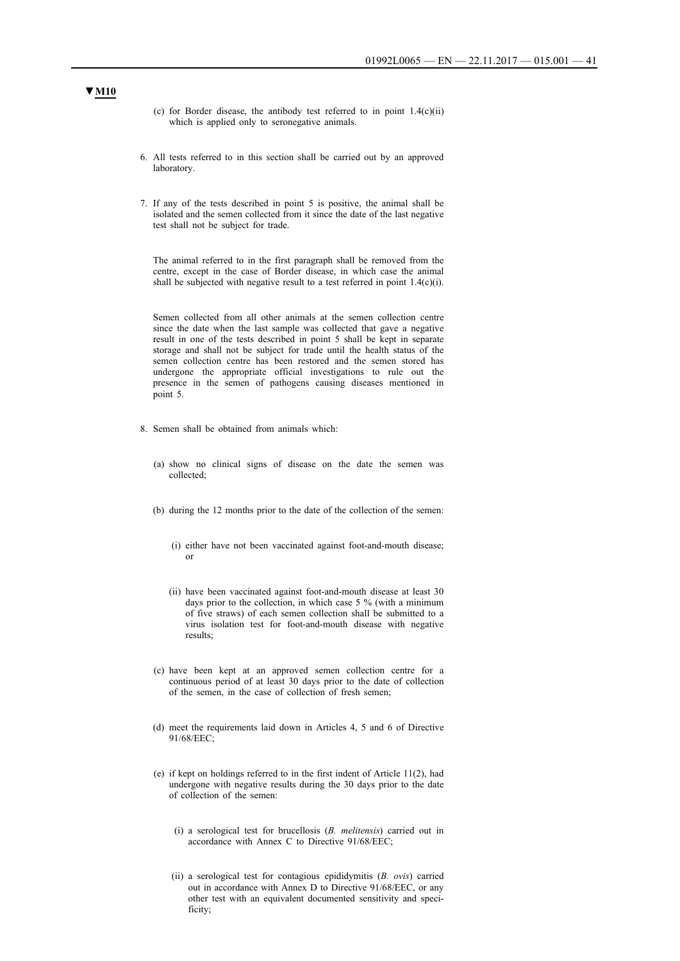- (c) for Border disease, the antibody test referred to in point  $1.4(c)(ii)$ which is applied only to seronegative animals.
- 6. All tests referred to in this section shall be carried out by an approved laboratory.
- 7. If any of the tests described in point 5 is positive, the animal shall be isolated and the semen collected from it since the date of the last negative test shall not be subject for trade.

The animal referred to in the first paragraph shall be removed from the centre, except in the case of Border disease, in which case the animal shall be subjected with negative result to a test referred in point  $1.4(c)(i)$ .

Semen collected from all other animals at the semen collection centre since the date when the last sample was collected that gave a negative result in one of the tests described in point 5 shall be kept in separate storage and shall not be subject for trade until the health status of the semen collection centre has been restored and the semen stored has undergone the appropriate official investigations to rule out the presence in the semen of pathogens causing diseases mentioned in point 5.

- 8. Semen shall be obtained from animals which:
	- (a) show no clinical signs of disease on the date the semen was collected;
	- (b) during the 12 months prior to the date of the collection of the semen:
		- (i) either have not been vaccinated against foot-and-mouth disease; or
		- (ii) have been vaccinated against foot-and-mouth disease at least 30 days prior to the collection, in which case 5 % (with a minimum of five straws) of each semen collection shall be submitted to a virus isolation test for foot-and-mouth disease with negative results;
	- (c) have been kept at an approved semen collection centre for a continuous period of at least 30 days prior to the date of collection of the semen, in the case of collection of fresh semen;
	- (d) meet the requirements laid down in Articles 4, 5 and 6 of Directive 91/68/EEC;
	- (e) if kept on holdings referred to in the first indent of Article 11(2), had undergone with negative results during the 30 days prior to the date of collection of the semen:
		- (i) a serological test for brucellosis (*B. melitensis*) carried out in accordance with Annex C to Directive 91/68/EEC;
		- (ii) a serological test for contagious epididymitis (*B. ovis*) carried out in accordance with Annex D to Directive 91/68/EEC, or any other test with an equivalent documented sensitivity and specificity;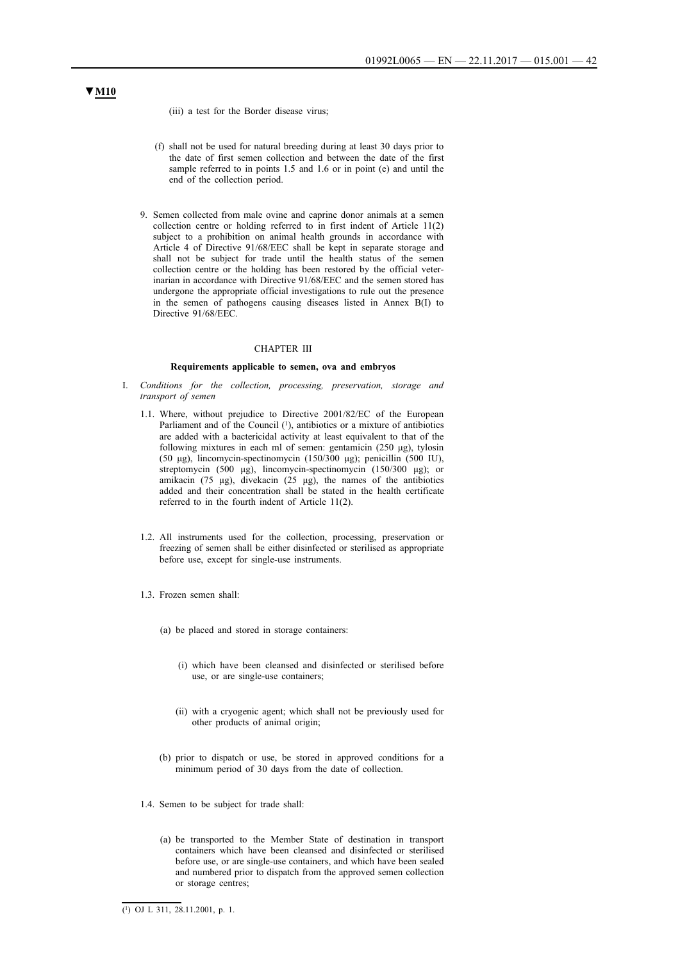(iii) a test for the Border disease virus;

- (f) shall not be used for natural breeding during at least 30 days prior to the date of first semen collection and between the date of the first sample referred to in points 1.5 and 1.6 or in point (e) and until the end of the collection period.
- 9. Semen collected from male ovine and caprine donor animals at a semen collection centre or holding referred to in first indent of Article 11(2) subject to a prohibition on animal health grounds in accordance with Article 4 of Directive 91/68/EEC shall be kept in separate storage and shall not be subject for trade until the health status of the semen collection centre or the holding has been restored by the official veterinarian in accordance with Directive 91/68/EEC and the semen stored has undergone the appropriate official investigations to rule out the presence in the semen of pathogens causing diseases listed in Annex B(I) to Directive 91/68/EEC.

#### CHAPTER III

#### **Requirements applicable to semen, ova and embryos**

- I. *Conditions for the collection, processing, preservation, storage and transport of semen*
	- 1.1. Where, without prejudice to Directive 2001/82/EC of the European Parliament and of the Council  $(1)$ , antibiotics or a mixture of antibiotics are added with a bactericidal activity at least equivalent to that of the following mixtures in each ml of semen: gentamicin (250 μg), tylosin (50 μg), lincomycin-spectinomycin (150/300 μg); penicillin (500 IU), streptomycin (500 μg), lincomycin-spectinomycin (150/300 μg); or amikacin (75 μg), divekacin (25 μg), the names of the antibiotics added and their concentration shall be stated in the health certificate referred to in the fourth indent of Article 11(2).
	- 1.2. All instruments used for the collection, processing, preservation or freezing of semen shall be either disinfected or sterilised as appropriate before use, except for single-use instruments.
	- 1.3. Frozen semen shall:
		- (a) be placed and stored in storage containers:
			- (i) which have been cleansed and disinfected or sterilised before use, or are single-use containers;
			- (ii) with a cryogenic agent; which shall not be previously used for other products of animal origin;
		- (b) prior to dispatch or use, be stored in approved conditions for a minimum period of 30 days from the date of collection.
	- 1.4. Semen to be subject for trade shall:
		- (a) be transported to the Member State of destination in transport containers which have been cleansed and disinfected or sterilised before use, or are single-use containers, and which have been sealed and numbered prior to dispatch from the approved semen collection or storage centres;

### $\overline{(^1)}$  OJ L 311, 28.11.2001, p. 1.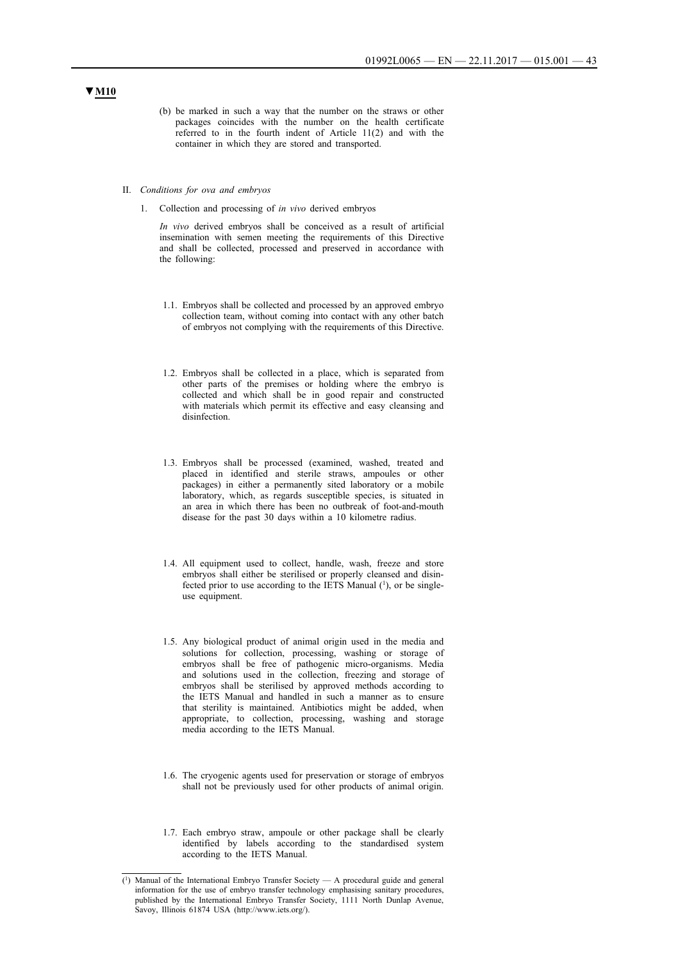- (b) be marked in such a way that the number on the straws or other packages coincides with the number on the health certificate referred to in the fourth indent of Article 11(2) and with the container in which they are stored and transported.
- II. *Conditions for ova and embryos*
	- 1. Collection and processing of *in vivo* derived embryos

*In vivo* derived embryos shall be conceived as a result of artificial insemination with semen meeting the requirements of this Directive and shall be collected, processed and preserved in accordance with the following:

- 1.1. Embryos shall be collected and processed by an approved embryo collection team, without coming into contact with any other batch of embryos not complying with the requirements of this Directive.
- 1.2. Embryos shall be collected in a place, which is separated from other parts of the premises or holding where the embryo is collected and which shall be in good repair and constructed with materials which permit its effective and easy cleansing and disinfection.
- 1.3. Embryos shall be processed (examined, washed, treated and placed in identified and sterile straws, ampoules or other packages) in either a permanently sited laboratory or a mobile laboratory, which, as regards susceptible species, is situated in an area in which there has been no outbreak of foot-and-mouth disease for the past 30 days within a 10 kilometre radius.
- 1.4. All equipment used to collect, handle, wash, freeze and store embryos shall either be sterilised or properly cleansed and disinfected prior to use according to the IETS Manual (1), or be singleuse equipment.
- 1.5. Any biological product of animal origin used in the media and solutions for collection, processing, washing or storage of embryos shall be free of pathogenic micro-organisms. Media and solutions used in the collection, freezing and storage of embryos shall be sterilised by approved methods according to the IETS Manual and handled in such a manner as to ensure that sterility is maintained. Antibiotics might be added, when appropriate, to collection, processing, washing and storage media according to the IETS Manual.
- 1.6. The cryogenic agents used for preservation or storage of embryos shall not be previously used for other products of animal origin.
- 1.7. Each embryo straw, ampoule or other package shall be clearly identified by labels according to the standardised system according to the IETS Manual.

<sup>(1)</sup> Manual of the International Embryo Transfer Society — A procedural guide and general information for the use of embryo transfer technology emphasising sanitary procedures, published by the International Embryo Transfer Society, 1111 North Dunlap Avenue, Savoy, Illinois 61874 USA (http://www.iets.org/).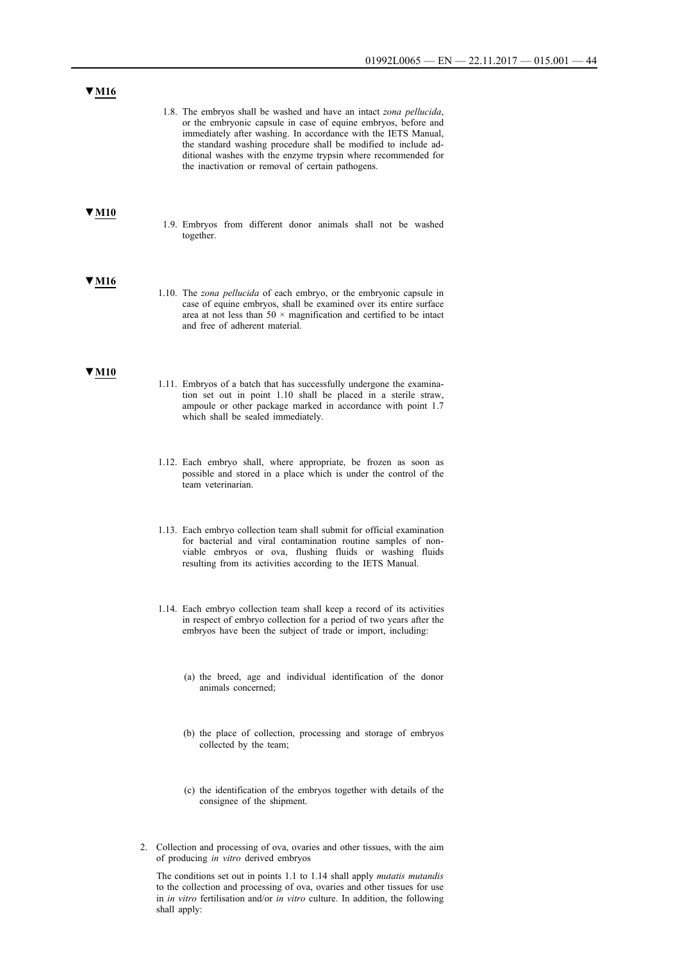| V M16 |                                                                                                                                                                                                                                                                                                                                                                                                  |
|-------|--------------------------------------------------------------------------------------------------------------------------------------------------------------------------------------------------------------------------------------------------------------------------------------------------------------------------------------------------------------------------------------------------|
|       | 1.8. The embryos shall be washed and have an intact zona pellucida,<br>or the embryonic capsule in case of equine embryos, before and<br>immediately after washing. In accordance with the IETS Manual,<br>the standard washing procedure shall be modified to include ad-<br>ditional washes with the enzyme trypsin where recommended for<br>the inactivation or removal of certain pathogens. |
| V M10 | 1.9. Embryos from different donor animals shall not be washed<br>together.                                                                                                                                                                                                                                                                                                                       |
| V M16 | 1.10. The <i>zona pellucida</i> of each embryo, or the embryonic capsule in<br>case of equine embryos, shall be examined over its entire surface<br>area at not less than $50 \times$ magnification and certified to be intact<br>and free of adherent material.                                                                                                                                 |
| ' M10 | 1.11. Embryos of a batch that has successfully undergone the examina-<br>tion set out in point 1.10 shall be placed in a sterile straw,<br>ampoule or other package marked in accordance with point 1.7<br>which shall be sealed immediately.                                                                                                                                                    |
|       | 1.12. Each embryo shall, where appropriate, be frozen as soon as<br>possible and stored in a place which is under the control of the<br>team veterinarian.                                                                                                                                                                                                                                       |
|       | 1.13. Each embryo collection team shall submit for official examination<br>for bacterial and viral contamination routine samples of non-<br>viable embryos or ova, flushing fluids or washing fluids<br>resulting from its activities according to the IETS Manual.                                                                                                                              |
|       | 1.14. Each embryo collection team shall keep a record of its activities<br>in respect of embryo collection for a period of two years after the<br>embryos have been the subject of trade or import, including:                                                                                                                                                                                   |
|       | (a) the breed, age and individual identification of the donor<br>animals concerned;                                                                                                                                                                                                                                                                                                              |
|       | (b) the place of collection, processing and storage of embryos<br>collected by the team;                                                                                                                                                                                                                                                                                                         |
|       | (c) the identification of the embryos together with details of the<br>consignee of the shipment.                                                                                                                                                                                                                                                                                                 |

2. Collection and processing of ova, ovaries and other tissues, with the aim of producing *in vitro* derived embryos

The conditions set out in points 1.1 to 1.14 shall apply *mutatis mutandis* to the collection and processing of ova, ovaries and other tissues for use in *in vitro* fertilisation and/or *in vitro* culture. In addition, the following shall apply: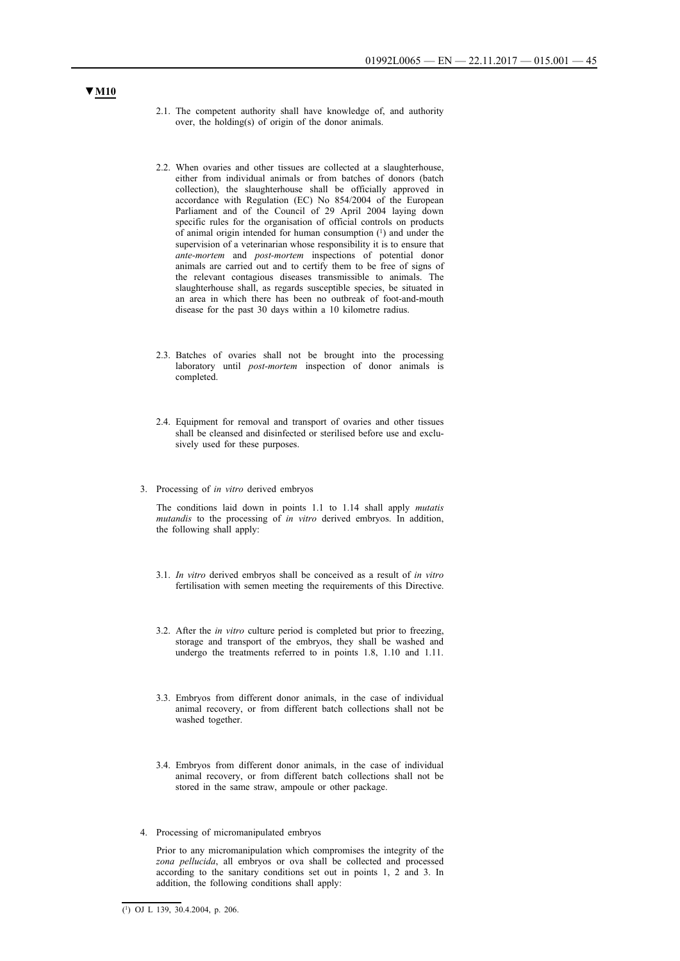- 2.1. The competent authority shall have knowledge of, and authority over, the holding(s) of origin of the donor animals.
- 2.2. When ovaries and other tissues are collected at a slaughterhouse, either from individual animals or from batches of donors (batch collection), the slaughterhouse shall be officially approved in accordance with Regulation (EC) No 854/2004 of the European Parliament and of the Council of 29 April 2004 laying down specific rules for the organisation of official controls on products of animal origin intended for human consumption  $(1)$  and under the supervision of a veterinarian whose responsibility it is to ensure that *ante-mortem* and *post-mortem* inspections of potential donor animals are carried out and to certify them to be free of signs of the relevant contagious diseases transmissible to animals. The slaughterhouse shall, as regards susceptible species, be situated in an area in which there has been no outbreak of foot-and-mouth disease for the past 30 days within a 10 kilometre radius.
- 2.3. Batches of ovaries shall not be brought into the processing laboratory until *post-mortem* inspection of donor animals is completed.
- 2.4. Equipment for removal and transport of ovaries and other tissues shall be cleansed and disinfected or sterilised before use and exclusively used for these purposes.
- 3. Processing of *in vitro* derived embryos

The conditions laid down in points 1.1 to 1.14 shall apply *mutatis mutandis* to the processing of *in vitro* derived embryos. In addition, the following shall apply:

- 3.1. *In vitro* derived embryos shall be conceived as a result of *in vitro* fertilisation with semen meeting the requirements of this Directive.
- 3.2. After the *in vitro* culture period is completed but prior to freezing, storage and transport of the embryos, they shall be washed and undergo the treatments referred to in points 1.8, 1.10 and 1.11.
- 3.3. Embryos from different donor animals, in the case of individual animal recovery, or from different batch collections shall not be washed together.
- 3.4. Embryos from different donor animals, in the case of individual animal recovery, or from different batch collections shall not be stored in the same straw, ampoule or other package.
- 4. Processing of micromanipulated embryos

Prior to any micromanipulation which compromises the integrity of the *zona pellucida*, all embryos or ova shall be collected and processed according to the sanitary conditions set out in points 1, 2 and 3. In addition, the following conditions shall apply:

 $(1)$  OJ L 139, 30, 4, 2004, p. 206.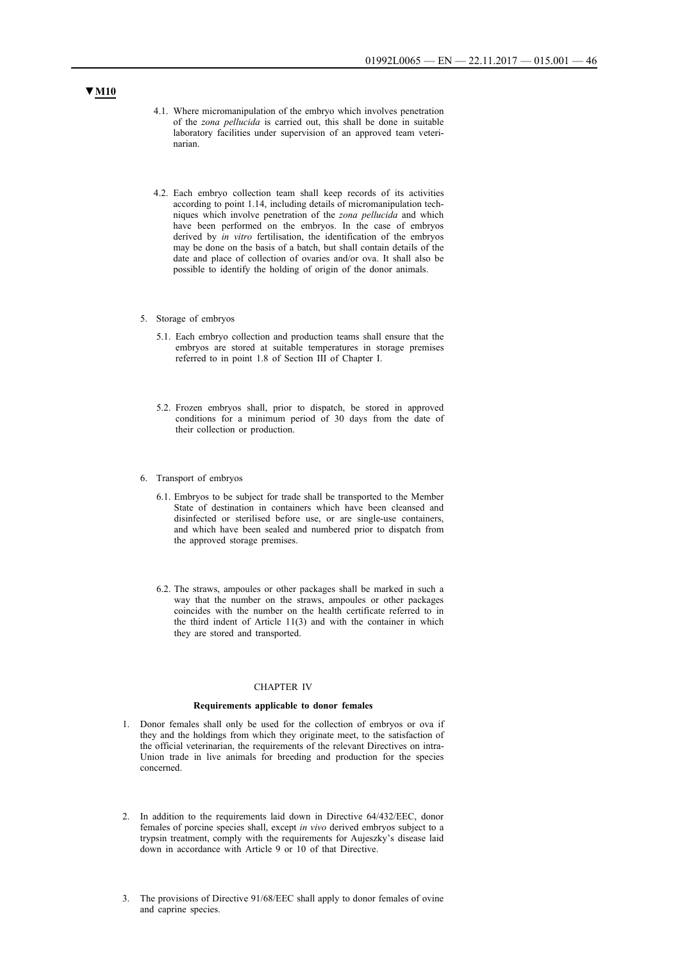- 4.1. Where micromanipulation of the embryo which involves penetration of the *zona pellucida* is carried out, this shall be done in suitable laboratory facilities under supervision of an approved team veterinarian.
- 4.2. Each embryo collection team shall keep records of its activities according to point 1.14, including details of micromanipulation techniques which involve penetration of the *zona pellucida* and which have been performed on the embryos. In the case of embryos derived by *in vitro* fertilisation, the identification of the embryos may be done on the basis of a batch, but shall contain details of the date and place of collection of ovaries and/or ova. It shall also be possible to identify the holding of origin of the donor animals.
- 5. Storage of embryos
	- 5.1. Each embryo collection and production teams shall ensure that the embryos are stored at suitable temperatures in storage premises referred to in point 1.8 of Section III of Chapter I.
	- 5.2. Frozen embryos shall, prior to dispatch, be stored in approved conditions for a minimum period of 30 days from the date of their collection or production.
- 6. Transport of embryos
	- 6.1. Embryos to be subject for trade shall be transported to the Member State of destination in containers which have been cleansed and disinfected or sterilised before use, or are single-use containers, and which have been sealed and numbered prior to dispatch from the approved storage premises.
	- 6.2. The straws, ampoules or other packages shall be marked in such a way that the number on the straws, ampoules or other packages coincides with the number on the health certificate referred to in the third indent of Article 11(3) and with the container in which they are stored and transported.

#### CHAPTER IV

#### **Requirements applicable to donor females**

- 1. Donor females shall only be used for the collection of embryos or ova if they and the holdings from which they originate meet, to the satisfaction of the official veterinarian, the requirements of the relevant Directives on intra-Union trade in live animals for breeding and production for the species concerned.
- 2. In addition to the requirements laid down in Directive 64/432/EEC, donor females of porcine species shall, except *in vivo* derived embryos subject to a trypsin treatment, comply with the requirements for Aujeszky's disease laid down in accordance with Article 9 or 10 of that Directive.
- 3. The provisions of Directive 91/68/EEC shall apply to donor females of ovine and caprine species.